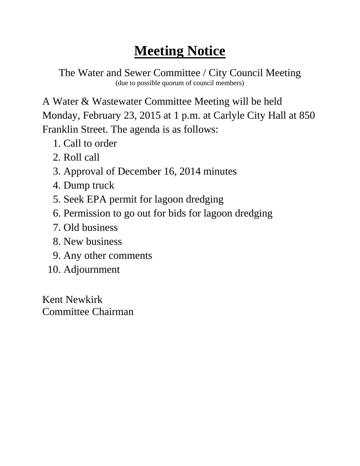The Water and Sewer Committee / City Council Meeting (due to possible quorum of council members)

A Water & Wastewater Committee Meeting will be held Monday, February 23, 2015 at 1 p.m. at Carlyle City Hall at 850 Franklin Street. The agenda is as follows:

- 1. Call to order
- 2. Roll call
- 3. Approval of December 16, 2014 minutes
- 4. Dump truck
- 5. Seek EPA permit for lagoon dredging
- 6. Permission to go out for bids for lagoon dredging
- 7. Old business
- 8. New business
- 9. Any other comments
- 10. Adjournment

Kent Newkirk Committee Chairman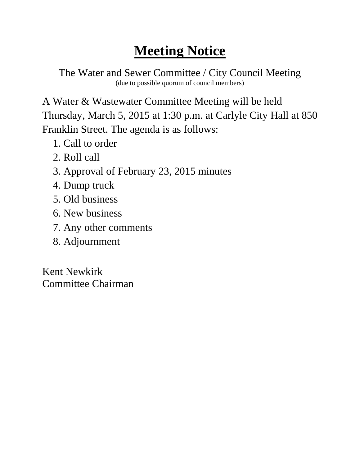The Water and Sewer Committee / City Council Meeting (due to possible quorum of council members)

A Water & Wastewater Committee Meeting will be held Thursday, March 5, 2015 at 1:30 p.m. at Carlyle City Hall at 850 Franklin Street. The agenda is as follows:

- 1. Call to order
- 2. Roll call
- 3. Approval of February 23, 2015 minutes
- 4. Dump truck
- 5. Old business
- 6. New business
- 7. Any other comments
- 8. Adjournment

Kent Newkirk Committee Chairman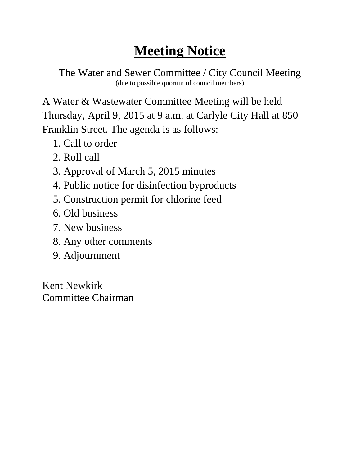The Water and Sewer Committee / City Council Meeting (due to possible quorum of council members)

A Water & Wastewater Committee Meeting will be held Thursday, April 9, 2015 at 9 a.m. at Carlyle City Hall at 850 Franklin Street. The agenda is as follows:

- 1. Call to order
- 2. Roll call
- 3. Approval of March 5, 2015 minutes
- 4. Public notice for disinfection byproducts
- 5. Construction permit for chlorine feed
- 6. Old business
- 7. New business
- 8. Any other comments
- 9. Adjournment

Kent Newkirk Committee Chairman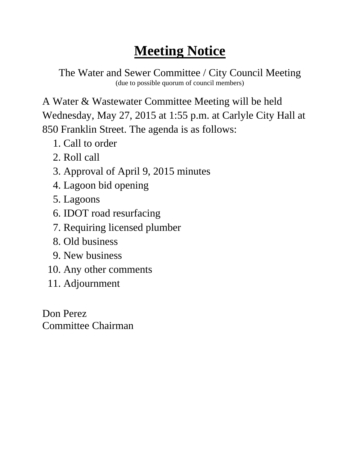The Water and Sewer Committee / City Council Meeting (due to possible quorum of council members)

A Water & Wastewater Committee Meeting will be held Wednesday, May 27, 2015 at 1:55 p.m. at Carlyle City Hall at 850 Franklin Street. The agenda is as follows:

- 1. Call to order
- 2. Roll call
- 3. Approval of April 9, 2015 minutes
- 4. Lagoon bid opening
- 5. Lagoons
- 6. IDOT road resurfacing
- 7. Requiring licensed plumber
- 8. Old business
- 9. New business
- 10. Any other comments
- 11. Adjournment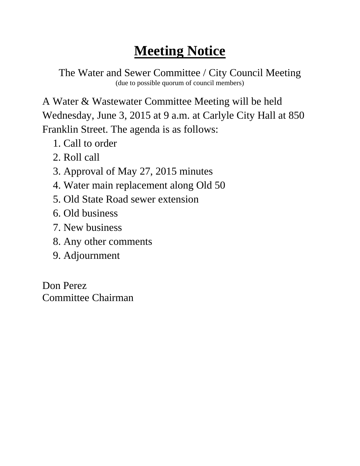The Water and Sewer Committee / City Council Meeting (due to possible quorum of council members)

A Water & Wastewater Committee Meeting will be held Wednesday, June 3, 2015 at 9 a.m. at Carlyle City Hall at 850 Franklin Street. The agenda is as follows:

- 1. Call to order
- 2. Roll call
- 3. Approval of May 27, 2015 minutes
- 4. Water main replacement along Old 50
- 5. Old State Road sewer extension
- 6. Old business
- 7. New business
- 8. Any other comments
- 9. Adjournment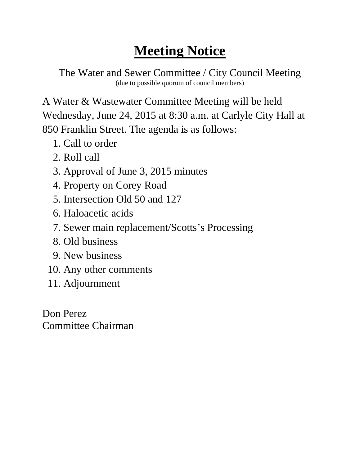The Water and Sewer Committee / City Council Meeting (due to possible quorum of council members)

A Water & Wastewater Committee Meeting will be held Wednesday, June 24, 2015 at 8:30 a.m. at Carlyle City Hall at 850 Franklin Street. The agenda is as follows:

- 1. Call to order
- 2. Roll call
- 3. Approval of June 3, 2015 minutes
- 4. Property on Corey Road
- 5. Intersection Old 50 and 127
- 6. Haloacetic acids
- 7. Sewer main replacement/Scotts's Processing
- 8. Old business
- 9. New business
- 10. Any other comments
- 11. Adjournment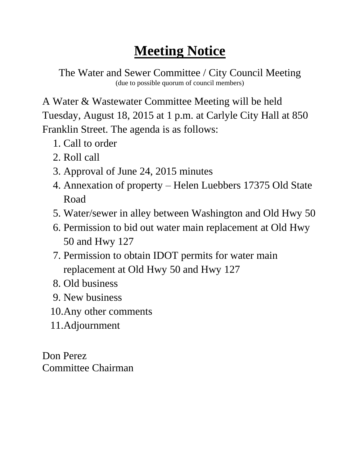The Water and Sewer Committee / City Council Meeting (due to possible quorum of council members)

A Water & Wastewater Committee Meeting will be held Tuesday, August 18, 2015 at 1 p.m. at Carlyle City Hall at 850 Franklin Street. The agenda is as follows:

- 1. Call to order
- 2. Roll call
- 3. Approval of June 24, 2015 minutes
- 4. Annexation of property Helen Luebbers 17375 Old State Road
- 5. Water/sewer in alley between Washington and Old Hwy 50
- 6. Permission to bid out water main replacement at Old Hwy 50 and Hwy 127
- 7. Permission to obtain IDOT permits for water main replacement at Old Hwy 50 and Hwy 127
- 8. Old business
- 9. New business
- 10.Any other comments
- 11.Adjournment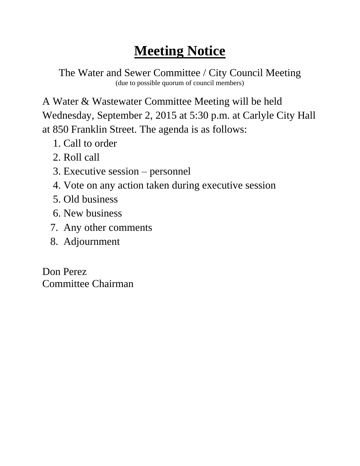The Water and Sewer Committee / City Council Meeting (due to possible quorum of council members)

A Water & Wastewater Committee Meeting will be held Wednesday, September 2, 2015 at 5:30 p.m. at Carlyle City Hall at 850 Franklin Street. The agenda is as follows:

- 1. Call to order
- 2. Roll call
- 3. Executive session personnel
- 4. Vote on any action taken during executive session
- 5. Old business
- 6. New business
- 7. Any other comments
- 8. Adjournment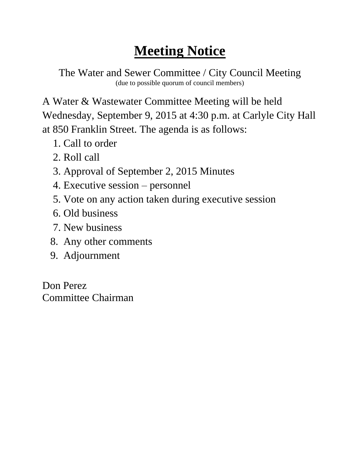The Water and Sewer Committee / City Council Meeting (due to possible quorum of council members)

A Water & Wastewater Committee Meeting will be held Wednesday, September 9, 2015 at 4:30 p.m. at Carlyle City Hall at 850 Franklin Street. The agenda is as follows:

- 1. Call to order
- 2. Roll call
- 3. Approval of September 2, 2015 Minutes
- 4. Executive session personnel
- 5. Vote on any action taken during executive session
- 6. Old business
- 7. New business
- 8. Any other comments
- 9. Adjournment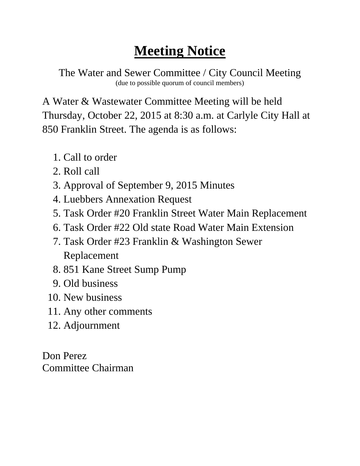The Water and Sewer Committee / City Council Meeting (due to possible quorum of council members)

A Water & Wastewater Committee Meeting will be held Thursday, October 22, 2015 at 8:30 a.m. at Carlyle City Hall at 850 Franklin Street. The agenda is as follows:

- 1. Call to order
- 2. Roll call
- 3. Approval of September 9, 2015 Minutes
- 4. Luebbers Annexation Request
- 5. Task Order #20 Franklin Street Water Main Replacement
- 6. Task Order #22 Old state Road Water Main Extension
- 7. Task Order #23 Franklin & Washington Sewer Replacement
- 8. 851 Kane Street Sump Pump
- 9. Old business
- 10. New business
- 11. Any other comments
- 12. Adjournment